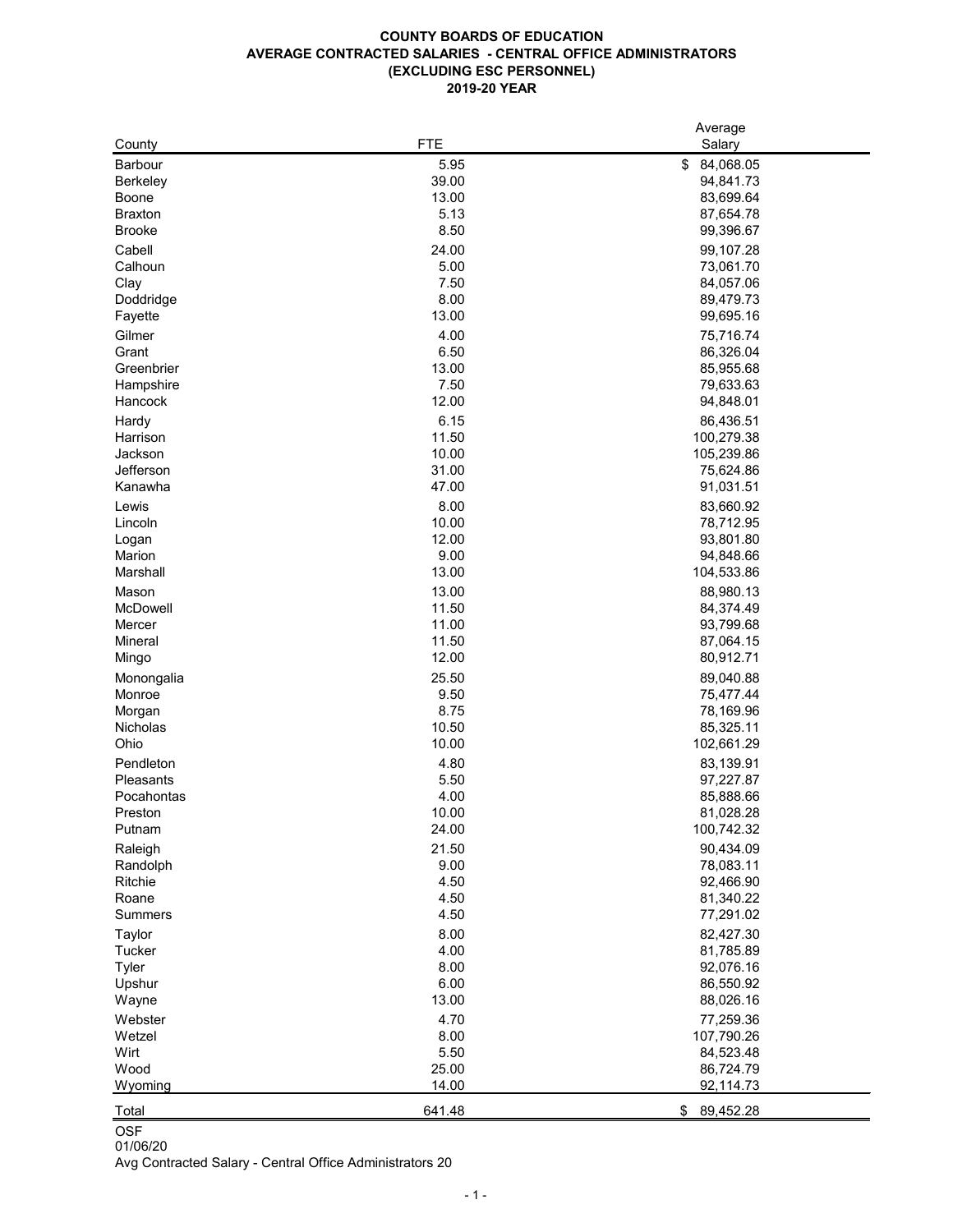## **COUNTY BOARDS OF EDUCATION AVERAGE CONTRACTED SALARIES - CENTRAL OFFICE ADMINISTRATORS (EXCLUDING ESC PERSONNEL) 2019-20 YEAR**

|                      |                | Average                 |
|----------------------|----------------|-------------------------|
| County               | <b>FTE</b>     | Salary                  |
| <b>Barbour</b>       | 5.95           | 84,068.05<br>\$         |
| <b>Berkeley</b>      | 39.00          | 94,841.73               |
| <b>Boone</b>         | 13.00          | 83,699.64               |
| <b>Braxton</b>       | 5.13           | 87,654.78               |
| <b>Brooke</b>        | 8.50           | 99,396.67               |
| Cabell               | 24.00          | 99,107.28               |
| Calhoun              | 5.00           | 73,061.70               |
| Clay                 | 7.50           | 84,057.06               |
| Doddridge            | 8.00           | 89,479.73               |
| Fayette              | 13.00          | 99,695.16               |
| Gilmer               | 4.00           | 75,716.74               |
| Grant                | 6.50           | 86,326.04               |
| Greenbrier           | 13.00          | 85,955.68               |
| Hampshire            | 7.50           | 79,633.63               |
| Hancock              | 12.00          | 94,848.01               |
|                      |                |                         |
| Hardy                | 6.15           | 86,436.51               |
| Harrison             | 11.50          | 100,279.38              |
| Jackson<br>Jefferson | 10.00<br>31.00 | 105,239.86<br>75,624.86 |
|                      |                |                         |
| Kanawha              | 47.00          | 91,031.51               |
| Lewis                | 8.00           | 83,660.92               |
| Lincoln              | 10.00          | 78,712.95               |
| Logan                | 12.00          | 93,801.80               |
| Marion               | 9.00           | 94,848.66               |
| Marshall             | 13.00          | 104,533.86              |
| Mason                | 13.00          | 88,980.13               |
| <b>McDowell</b>      | 11.50          | 84,374.49               |
| Mercer               | 11.00          | 93,799.68               |
| <b>Mineral</b>       | 11.50          | 87,064.15               |
| Mingo                | 12.00          | 80,912.71               |
| Monongalia           | 25.50          | 89,040.88               |
| Monroe               | 9.50           | 75,477.44               |
| Morgan               | 8.75           | 78,169.96               |
| <b>Nicholas</b>      | 10.50          | 85,325.11               |
| Ohio                 | 10.00          | 102,661.29              |
| Pendleton            | 4.80           | 83,139.91               |
| Pleasants            | 5.50           | 97,227.87               |
| Pocahontas           | 4.00           | 85,888.66               |
| Preston              | 10.00          | 81,028.28               |
| Putnam               | 24.00          | 100,742.32              |
| Raleigh              | 21.50          | 90,434.09               |
| Randolph             | 9.00           | 78,083.11               |
| Ritchie              | 4.50           | 92,466.90               |
| Roane                | 4.50           | 81,340.22               |
| <b>Summers</b>       | 4.50           | 77,291.02               |
| <b>Taylor</b>        | 8.00           | 82,427.30               |
| Tucker               | 4.00           | 81,785.89               |
| <b>Tyler</b>         | 8.00           | 92,076.16               |
| Upshur               | 6.00           | 86,550.92               |
| Wayne                | 13.00          | 88,026.16               |
| Webster              | 4.70           | 77,259.36               |
| Wetzel               | 8.00           | 107,790.26              |
| Wirt                 | 5.50           | 84,523.48               |
| Wood                 | 25.00          | 86,724.79               |
| Wyoming              | 14.00          | 92,114.73               |
|                      |                |                         |
| Total                | 641.48         | \$<br>89,452.28         |

OSF

01/06/20 Avg Contracted Salary - Central Office Administrators 20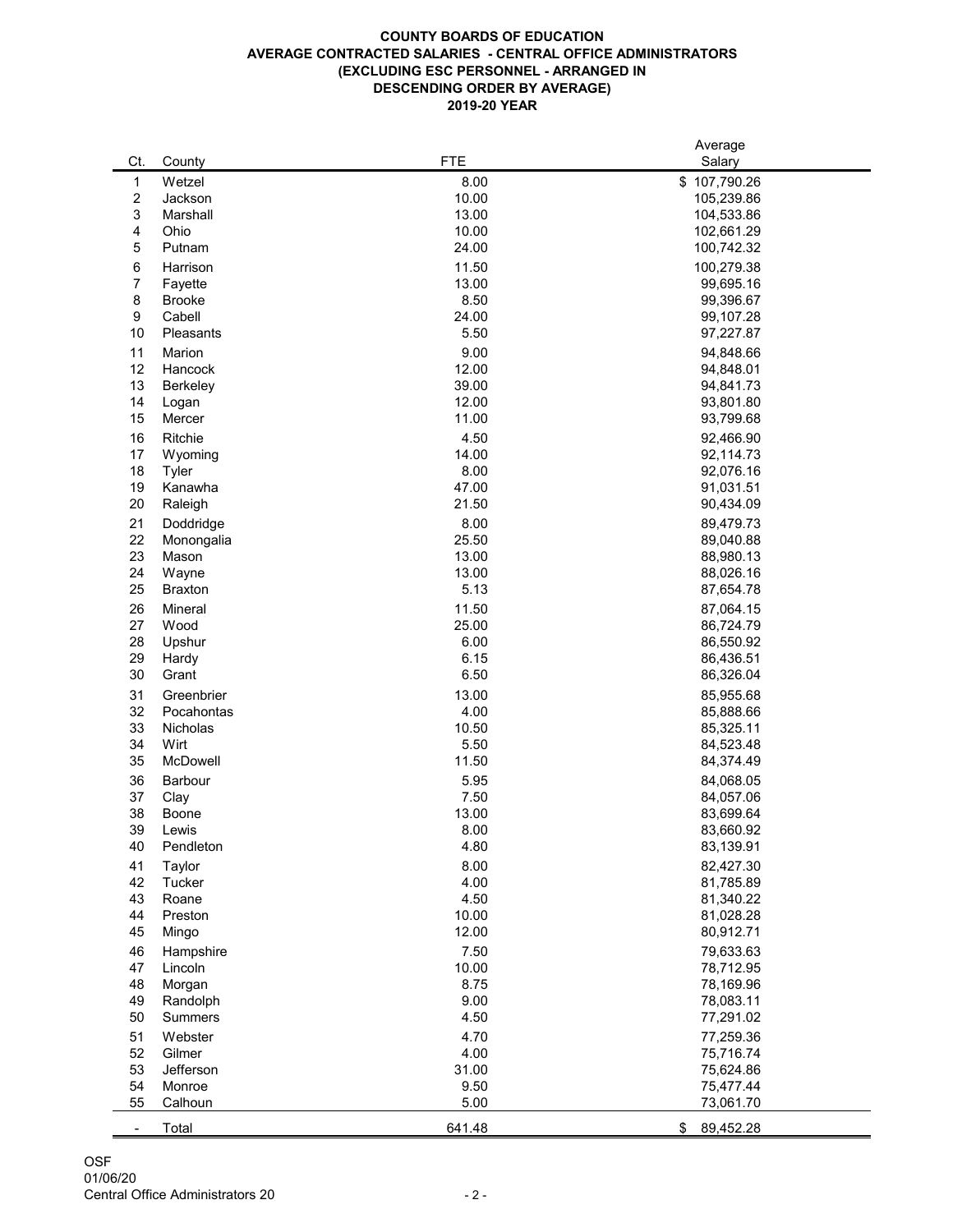# **COUNTY BOARDS OF EDUCATION AVERAGE CONTRACTED SALARIES - CENTRAL OFFICE ADMINISTRATORS (EXCLUDING ESC PERSONNEL - ARRANGED IN DESCENDING ORDER BY AVERAGE) 2019-20 YEAR**

|                          |                 |            | Average         |  |  |
|--------------------------|-----------------|------------|-----------------|--|--|
| Ct.                      | County          | <b>FTE</b> | Salary          |  |  |
| $\mathbf 1$              | Wetzel          | 8.00       | \$107,790.26    |  |  |
|                          | Jackson         | 10.00      | 105,239.86      |  |  |
| $\overline{\mathbf{c}}$  |                 |            |                 |  |  |
| 3                        | Marshall        | 13.00      | 104,533.86      |  |  |
| 4                        | Ohio            | 10.00      | 102,661.29      |  |  |
| 5                        | Putnam          | 24.00      | 100,742.32      |  |  |
| 6                        | Harrison        | 11.50      | 100,279.38      |  |  |
| 7                        | Fayette         | 13.00      | 99,695.16       |  |  |
| 8                        | <b>Brooke</b>   | 8.50       | 99,396.67       |  |  |
| 9                        | Cabell          | 24.00      | 99,107.28       |  |  |
|                          |                 |            |                 |  |  |
| 10                       | Pleasants       | 5.50       | 97,227.87       |  |  |
| 11                       | Marion          | 9.00       | 94,848.66       |  |  |
| 12                       | Hancock         | 12.00      | 94,848.01       |  |  |
| 13                       | <b>Berkeley</b> | 39.00      | 94,841.73       |  |  |
| 14                       | Logan           | 12.00      | 93,801.80       |  |  |
| 15                       | Mercer          | 11.00      | 93,799.68       |  |  |
| 16                       | <b>Ritchie</b>  | 4.50       |                 |  |  |
|                          |                 |            | 92,466.90       |  |  |
| 17                       | Wyoming         | 14.00      | 92,114.73       |  |  |
| 18                       | <b>Tyler</b>    | 8.00       | 92,076.16       |  |  |
| 19                       | Kanawha         | 47.00      | 91,031.51       |  |  |
| 20                       | Raleigh         | 21.50      | 90,434.09       |  |  |
| 21                       | Doddridge       | 8.00       | 89,479.73       |  |  |
| 22                       | Monongalia      | 25.50      | 89,040.88       |  |  |
| 23                       | Mason           | 13.00      | 88,980.13       |  |  |
| 24                       | Wayne           | 13.00      | 88,026.16       |  |  |
|                          |                 |            |                 |  |  |
| 25                       | <b>Braxton</b>  | 5.13       | 87,654.78       |  |  |
| 26                       | <b>Mineral</b>  | 11.50      | 87,064.15       |  |  |
| 27                       | Wood            | 25.00      | 86,724.79       |  |  |
| 28                       | Upshur          | 6.00       | 86,550.92       |  |  |
| 29                       | Hardy           | 6.15       | 86,436.51       |  |  |
| 30                       | Grant           | 6.50       | 86,326.04       |  |  |
|                          | Greenbrier      |            |                 |  |  |
| 31                       |                 | 13.00      | 85,955.68       |  |  |
| 32                       | Pocahontas      | 4.00       | 85,888.66       |  |  |
| 33                       | <b>Nicholas</b> | 10.50      | 85,325.11       |  |  |
| 34                       | Wirt            | 5.50       | 84,523.48       |  |  |
| 35                       | McDowell        | 11.50      | 84,374.49       |  |  |
| 36                       | <b>Barbour</b>  | 5.95       | 84,068.05       |  |  |
| 37                       | Clay            | 7.50       | 84,057.06       |  |  |
| 38                       | <b>Boone</b>    | 13.00      | 83,699.64       |  |  |
| 39                       | Lewis           | 8.00       | 83,660.92       |  |  |
| 40                       |                 | 4.80       |                 |  |  |
|                          | Pendleton       |            | 83,139.91       |  |  |
| 41                       | Taylor          | 8.00       | 82,427.30       |  |  |
| 42                       | <b>Tucker</b>   | 4.00       | 81,785.89       |  |  |
| 43                       | Roane           | 4.50       | 81,340.22       |  |  |
| 44                       | Preston         | 10.00      | 81,028.28       |  |  |
| 45                       | Mingo           | 12.00      | 80,912.71       |  |  |
| 46                       | Hampshire       | 7.50       | 79,633.63       |  |  |
|                          |                 |            |                 |  |  |
| 47                       | Lincoln         | 10.00      | 78,712.95       |  |  |
| 48                       | Morgan          | 8.75       | 78,169.96       |  |  |
| 49                       | Randolph        | 9.00       | 78,083.11       |  |  |
| 50                       | <b>Summers</b>  | 4.50       | 77,291.02       |  |  |
| 51                       | Webster         | 4.70       | 77,259.36       |  |  |
| 52                       | Gilmer          | 4.00       | 75,716.74       |  |  |
| 53                       | Jefferson       | 31.00      | 75,624.86       |  |  |
| 54                       | Monroe          | 9.50       | 75,477.44       |  |  |
| 55                       | Calhoun         | 5.00       | 73,061.70       |  |  |
|                          |                 |            |                 |  |  |
| $\overline{\phantom{a}}$ | Total           | 641.48     | \$<br>89,452.28 |  |  |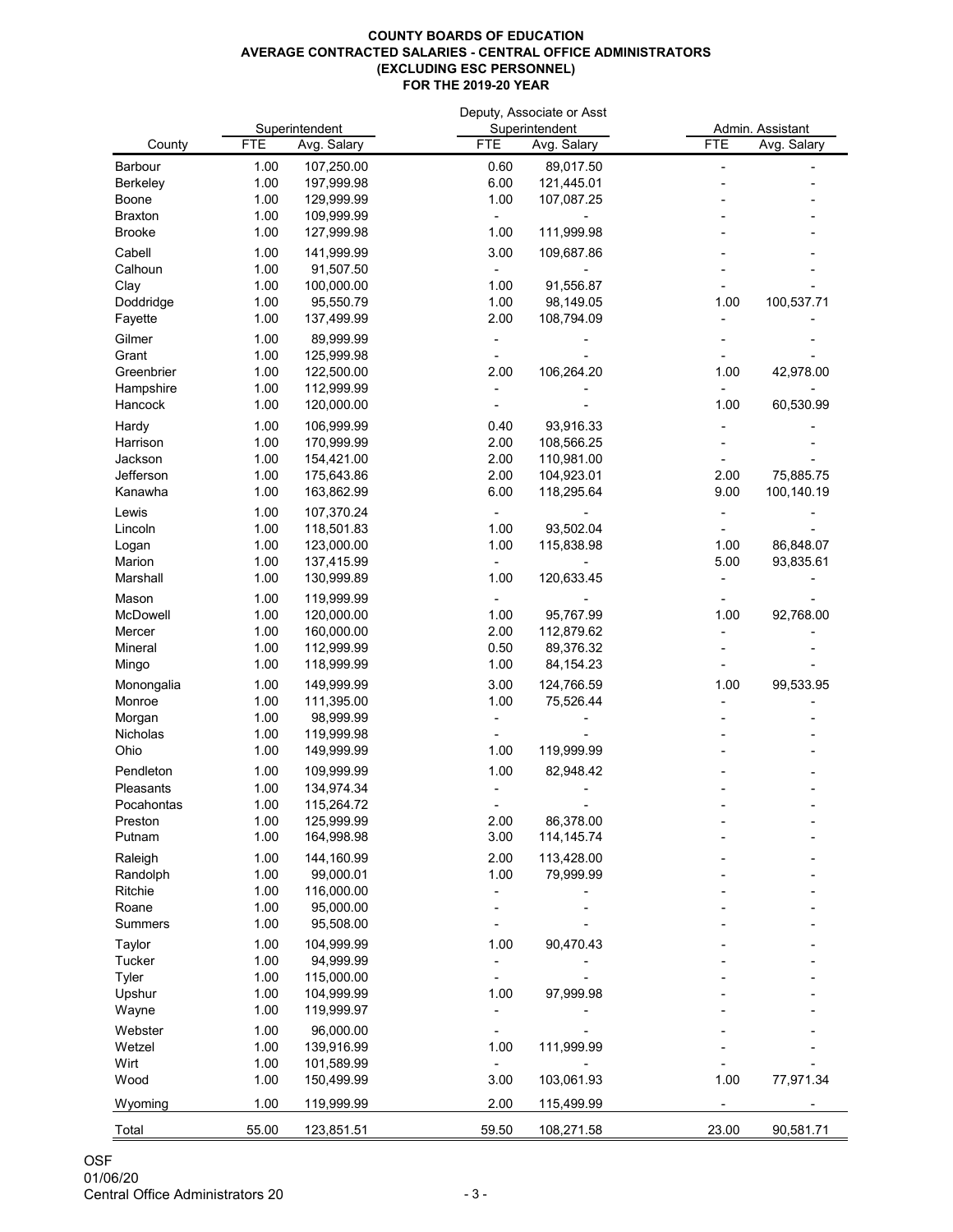### **COUNTY BOARDS OF EDUCATION AVERAGE CONTRACTED SALARIES - CENTRAL OFFICE ADMINISTRATORS (EXCLUDING ESC PERSONNEL) FOR THE 2019-20 YEAR**

|                |            |                |            | Deputy, Associate or Asst |            | Admin. Assistant |  |  |
|----------------|------------|----------------|------------|---------------------------|------------|------------------|--|--|
|                |            | Superintendent |            | Superintendent            |            |                  |  |  |
| County         | <b>FTE</b> | Avg. Salary    | <b>FTE</b> | Avg. Salary               | <b>FTE</b> | Avg. Salary      |  |  |
| Barbour        | 1.00       | 107,250.00     | 0.60       | 89,017.50                 |            |                  |  |  |
| Berkeley       | 1.00       | 197,999.98     | 6.00       | 121,445.01                |            |                  |  |  |
| <b>Boone</b>   | 1.00       | 129,999.99     | 1.00       | 107,087.25                |            |                  |  |  |
| <b>Braxton</b> | 1.00       | 109,999.99     |            |                           |            |                  |  |  |
| <b>Brooke</b>  | 1.00       | 127,999.98     | 1.00       | 111,999.98                |            |                  |  |  |
| Cabell         | 1.00       | 141,999.99     | 3.00       | 109,687.86                |            |                  |  |  |
| Calhoun        | 1.00       | 91,507.50      |            |                           |            |                  |  |  |
| Clay           | 1.00       | 100,000.00     | 1.00       | 91,556.87                 |            |                  |  |  |
| Doddridge      | 1.00       | 95,550.79      | 1.00       | 98,149.05                 | 1.00       | 100,537.71       |  |  |
| Fayette        | 1.00       | 137,499.99     | 2.00       | 108,794.09                |            |                  |  |  |
| Gilmer         | 1.00       | 89,999.99      |            |                           |            |                  |  |  |
| Grant          | 1.00       | 125,999.98     |            |                           |            |                  |  |  |
| Greenbrier     | 1.00       | 122,500.00     | 2.00       | 106,264.20                | 1.00       | 42,978.00        |  |  |
| Hampshire      | 1.00       | 112,999.99     |            |                           |            |                  |  |  |
| Hancock        | 1.00       | 120,000.00     |            |                           | 1.00       | 60,530.99        |  |  |
| Hardy          | 1.00       | 106,999.99     | 0.40       | 93,916.33                 |            |                  |  |  |
| Harrison       | 1.00       | 170,999.99     | 2.00       | 108,566.25                |            |                  |  |  |
| Jackson        | 1.00       | 154,421.00     | 2.00       | 110,981.00                |            |                  |  |  |
| Jefferson      | 1.00       | 175,643.86     | 2.00       | 104,923.01                | 2.00       | 75,885.75        |  |  |
| Kanawha        | 1.00       | 163,862.99     | 6.00       | 118,295.64                | 9.00       | 100,140.19       |  |  |
| Lewis          | 1.00       | 107,370.24     |            |                           |            |                  |  |  |
| Lincoln        | 1.00       | 118,501.83     | 1.00       | 93,502.04                 |            |                  |  |  |
| Logan          | 1.00       | 123,000.00     | 1.00       | 115,838.98                | 1.00       | 86,848.07        |  |  |
| Marion         | 1.00       | 137,415.99     |            |                           | 5.00       | 93,835.61        |  |  |
| Marshall       | 1.00       | 130,999.89     | 1.00       | 120,633.45                |            |                  |  |  |
|                |            |                |            |                           |            |                  |  |  |
| Mason          | 1.00       | 119,999.99     |            |                           |            |                  |  |  |
| McDowell       | 1.00       | 120,000.00     | 1.00       | 95,767.99                 | 1.00       | 92,768.00        |  |  |
| Mercer         | 1.00       | 160,000.00     | 2.00       | 112,879.62                |            |                  |  |  |
| Mineral        | 1.00       | 112,999.99     | 0.50       | 89,376.32                 |            |                  |  |  |
| Mingo          | 1.00       | 118,999.99     | 1.00       | 84, 154. 23               |            |                  |  |  |
| Monongalia     | 1.00       | 149,999.99     | 3.00       | 124,766.59                | 1.00       | 99,533.95        |  |  |
| Monroe         | 1.00       | 111,395.00     | 1.00       | 75,526.44                 |            |                  |  |  |
| Morgan         | 1.00       | 98,999.99      |            |                           |            |                  |  |  |
| Nicholas       | 1.00       | 119,999.98     |            |                           |            |                  |  |  |
| Ohio           | 1.00       | 149,999.99     | 1.00       | 119,999.99                |            |                  |  |  |
| Pendleton      | 1.00       | 109,999.99     | 1.00       | 82,948.42                 |            |                  |  |  |
| Pleasants      | 1.00       | 134,974.34     |            |                           |            |                  |  |  |
| Pocahontas     | 1.00       | 115,264.72     |            |                           |            |                  |  |  |
| Preston        | 1.00       | 125,999.99     | 2.00       | 86,378.00                 |            |                  |  |  |
| Putnam         | 1.00       | 164,998.98     | 3.00       | 114,145.74                |            |                  |  |  |
| Raleigh        | 1.00       | 144,160.99     | 2.00       | 113,428.00                |            |                  |  |  |
| Randolph       | 1.00       | 99,000.01      | 1.00       | 79,999.99                 |            |                  |  |  |
| Ritchie        | 1.00       | 116,000.00     |            |                           |            |                  |  |  |
| Roane          | 1.00       | 95,000.00      |            |                           |            |                  |  |  |
| <b>Summers</b> | 1.00       | 95,508.00      |            |                           |            |                  |  |  |
| Taylor         | 1.00       | 104,999.99     | 1.00       | 90,470.43                 |            |                  |  |  |
| <b>Tucker</b>  | 1.00       | 94,999.99      |            |                           |            |                  |  |  |
| Tyler          | 1.00       | 115,000.00     |            |                           |            |                  |  |  |
| Upshur         | 1.00       | 104,999.99     | 1.00       | 97,999.98                 |            |                  |  |  |
| Wayne          | 1.00       | 119,999.97     |            |                           |            |                  |  |  |
| Webster        | 1.00       | 96,000.00      |            |                           |            |                  |  |  |
| Wetzel         | 1.00       | 139,916.99     | 1.00       | 111,999.99                |            |                  |  |  |
| Wirt           | 1.00       | 101,589.99     |            |                           |            |                  |  |  |
| Wood           | 1.00       | 150,499.99     | 3.00       | 103,061.93                | 1.00       | 77,971.34        |  |  |
|                |            |                |            |                           |            |                  |  |  |
| Wyoming        | 1.00       | 119,999.99     | 2.00       | 115,499.99                |            |                  |  |  |
| Total          | 55.00      | 123,851.51     | 59.50      | 108,271.58                | 23.00      | 90,581.71        |  |  |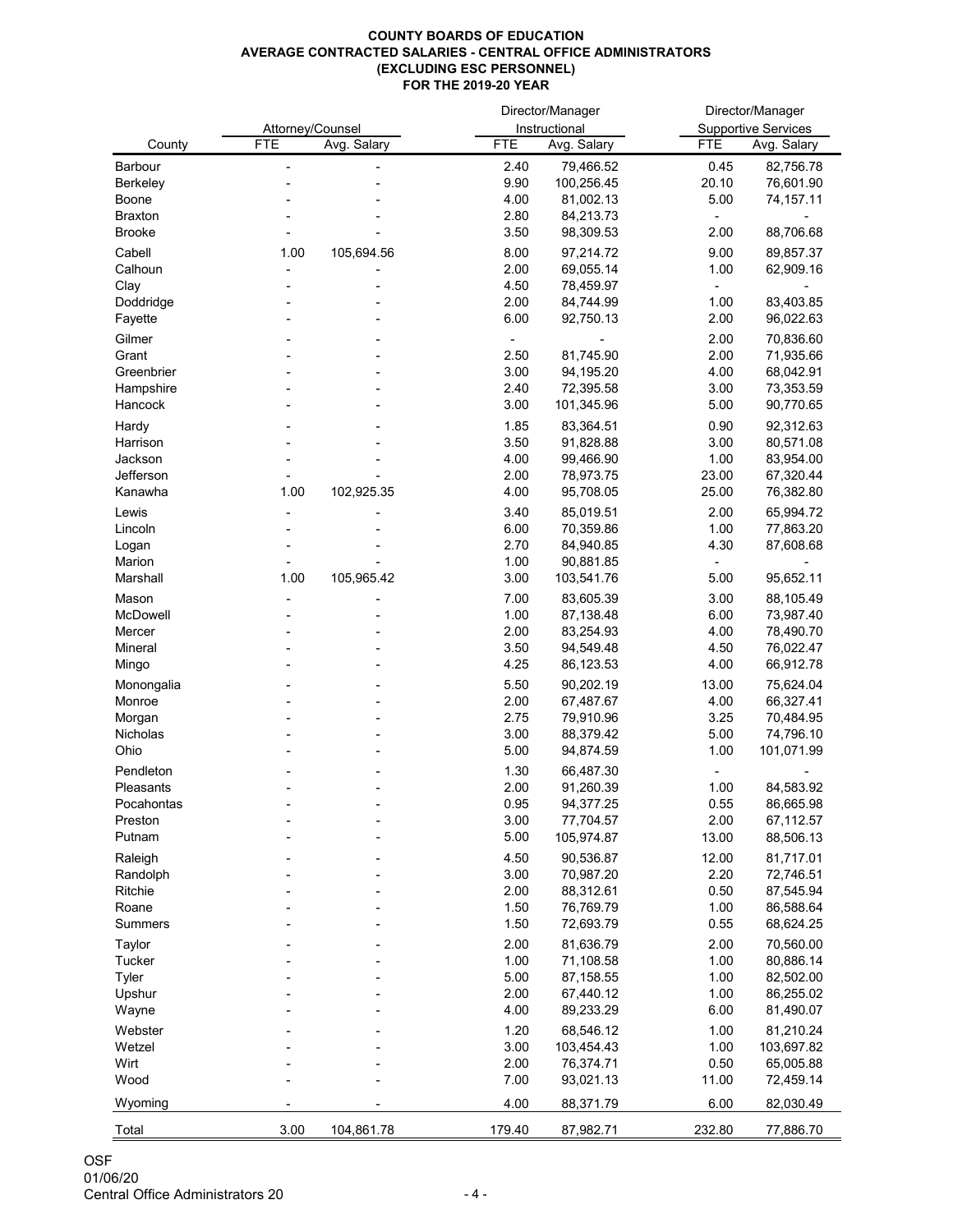## **COUNTY BOARDS OF EDUCATION AVERAGE CONTRACTED SALARIES - CENTRAL OFFICE ADMINISTRATORS (EXCLUDING ESC PERSONNEL) FOR THE 2019-20 YEAR**

|                 |                  |             | Director/Manager |               | Director/Manager |                            |  |
|-----------------|------------------|-------------|------------------|---------------|------------------|----------------------------|--|
|                 | Attorney/Counsel |             |                  | Instructional |                  | <b>Supportive Services</b> |  |
| County          | <b>FTE</b>       | Avg. Salary | <b>FTE</b>       | Avg. Salary   | <b>FTE</b>       | Avg. Salary                |  |
| <b>Barbour</b>  |                  |             | 2.40             | 79,466.52     | 0.45             | 82,756.78                  |  |
| <b>Berkeley</b> |                  |             | 9.90             | 100,256.45    | 20.10            | 76,601.90                  |  |
| <b>Boone</b>    |                  |             | 4.00             | 81,002.13     | 5.00             | 74,157.11                  |  |
| <b>Braxton</b>  |                  |             | 2.80             | 84,213.73     |                  |                            |  |
| <b>Brooke</b>   |                  |             | 3.50             | 98,309.53     | 2.00             | 88,706.68                  |  |
| Cabell          | 1.00             | 105,694.56  | 8.00             | 97,214.72     | 9.00             | 89,857.37                  |  |
| Calhoun         |                  |             | 2.00             | 69,055.14     | 1.00             | 62,909.16                  |  |
| Clay            |                  |             | 4.50             | 78,459.97     |                  |                            |  |
| Doddridge       |                  |             | 2.00             | 84,744.99     | 1.00             | 83,403.85                  |  |
| Fayette         |                  |             | 6.00             | 92,750.13     | 2.00             | 96,022.63                  |  |
| Gilmer          |                  |             |                  |               | 2.00             | 70,836.60                  |  |
| Grant           |                  |             | 2.50             | 81,745.90     | 2.00             | 71,935.66                  |  |
| Greenbrier      |                  |             | 3.00             | 94,195.20     | 4.00             | 68,042.91                  |  |
| Hampshire       |                  |             | 2.40             | 72,395.58     | 3.00             | 73,353.59                  |  |
| Hancock         |                  |             | 3.00             | 101,345.96    | 5.00             | 90,770.65                  |  |
| Hardy           |                  |             | 1.85             | 83,364.51     | 0.90             | 92,312.63                  |  |
| Harrison        |                  |             | 3.50             | 91,828.88     | 3.00             | 80,571.08                  |  |
| Jackson         |                  |             | 4.00             | 99,466.90     | 1.00             | 83,954.00                  |  |
| Jefferson       |                  |             | 2.00             | 78,973.75     | 23.00            | 67,320.44                  |  |
| Kanawha         | 1.00             | 102,925.35  | 4.00             | 95,708.05     | 25.00            | 76,382.80                  |  |
| Lewis           |                  |             | 3.40             | 85,019.51     | 2.00             | 65,994.72                  |  |
| Lincoln         |                  |             | 6.00             | 70,359.86     | 1.00             | 77,863.20                  |  |
| Logan           |                  |             | 2.70             | 84,940.85     | 4.30             | 87,608.68                  |  |
| Marion          |                  |             | 1.00             | 90,881.85     |                  |                            |  |
| Marshall        | 1.00             | 105,965.42  | 3.00             | 103,541.76    | 5.00             | 95,652.11                  |  |
| Mason           |                  |             | 7.00             | 83,605.39     | 3.00             | 88,105.49                  |  |
| <b>McDowell</b> |                  |             | 1.00             | 87,138.48     | 6.00             | 73,987.40                  |  |
| Mercer          |                  |             | 2.00             | 83,254.93     | 4.00             | 78,490.70                  |  |
| Mineral         |                  |             | 3.50             | 94,549.48     | 4.50             | 76,022.47                  |  |
| Mingo           |                  |             | 4.25             | 86,123.53     | 4.00             | 66,912.78                  |  |
| Monongalia      |                  |             | 5.50             | 90,202.19     | 13.00            | 75,624.04                  |  |
| Monroe          |                  |             | 2.00             | 67,487.67     | 4.00             | 66,327.41                  |  |
| Morgan          |                  |             | 2.75             | 79,910.96     | 3.25             | 70,484.95                  |  |
| <b>Nicholas</b> |                  |             | 3.00             | 88,379.42     | 5.00             | 74,796.10                  |  |
| Ohio            |                  |             | 5.00             | 94,874.59     | 1.00             | 101,071.99                 |  |
| Pendleton       |                  |             | 1.30             | 66,487.30     |                  |                            |  |
| Pleasants       |                  |             | 2.00             | 91,260.39     | 1.00             | 84,583.92                  |  |
| Pocahontas      |                  |             | 0.95             | 94,377.25     | 0.55             | 86,665.98                  |  |
| Preston         |                  |             | 3.00             | 77,704.57     | 2.00             | 67,112.57                  |  |
| Putnam          |                  |             | 5.00             | 105,974.87    | 13.00            | 88,506.13                  |  |
| Raleigh         |                  |             | 4.50             | 90,536.87     | 12.00            | 81,717.01                  |  |
| Randolph        |                  |             | 3.00             | 70,987.20     | 2.20             | 72,746.51                  |  |
| Ritchie         |                  |             | 2.00             | 88,312.61     | 0.50             | 87,545.94                  |  |
| Roane           |                  |             | 1.50             | 76,769.79     | 1.00             | 86,588.64                  |  |
| <b>Summers</b>  |                  |             | 1.50             | 72,693.79     | 0.55             | 68,624.25                  |  |
| Taylor          |                  |             | 2.00             | 81,636.79     | 2.00             | 70,560.00                  |  |
| <b>Tucker</b>   |                  |             | 1.00             | 71,108.58     | 1.00             | 80,886.14                  |  |
| <b>Tyler</b>    |                  |             | 5.00             | 87,158.55     | 1.00             | 82,502.00                  |  |
| Upshur          |                  |             | 2.00             | 67,440.12     | 1.00             | 86,255.02                  |  |
| Wayne           |                  |             | 4.00             | 89,233.29     | 6.00             | 81,490.07                  |  |
| Webster         |                  |             | 1.20             | 68,546.12     | 1.00             | 81,210.24                  |  |
| Wetzel          |                  |             | 3.00             | 103,454.43    | 1.00             | 103,697.82                 |  |
| Wirt            |                  |             | 2.00             | 76,374.71     | 0.50             | 65,005.88                  |  |
| Wood            |                  |             | 7.00             | 93,021.13     | 11.00            | 72,459.14                  |  |
| Wyoming         |                  |             | 4.00             | 88,371.79     | 6.00             | 82,030.49                  |  |
|                 |                  |             |                  |               |                  |                            |  |
| Total           | 3.00             | 104,861.78  | 179.40           | 87,982.71     | 232.80           | 77,886.70                  |  |